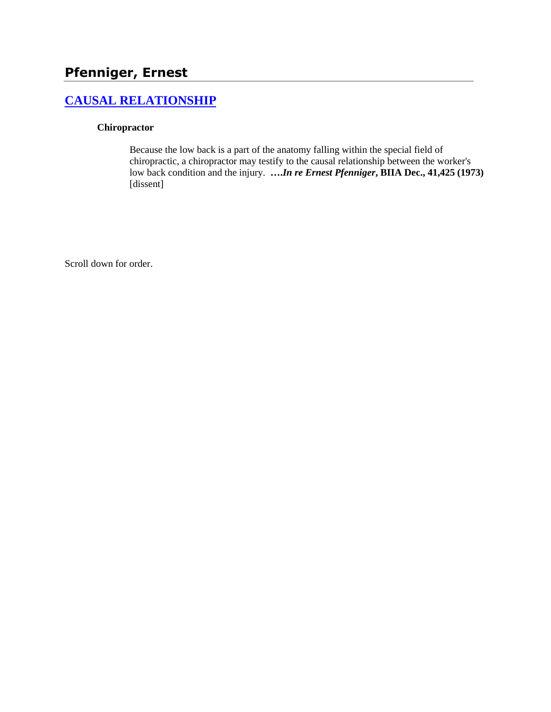# **Pfenniger, Ernest**

## **[CAUSAL RELATIONSHIP](http://www.biia.wa.gov/SDSubjectIndex.html#CAUSAL_RELATIONSHIP/)**

#### **Chiropractor**

Because the low back is a part of the anatomy falling within the special field of chiropractic, a chiropractor may testify to the causal relationship between the worker's low back condition and the injury. **….***In re Ernest Pfenniger***, BIIA Dec., 41,425 (1973)** [dissent]

Scroll down for order.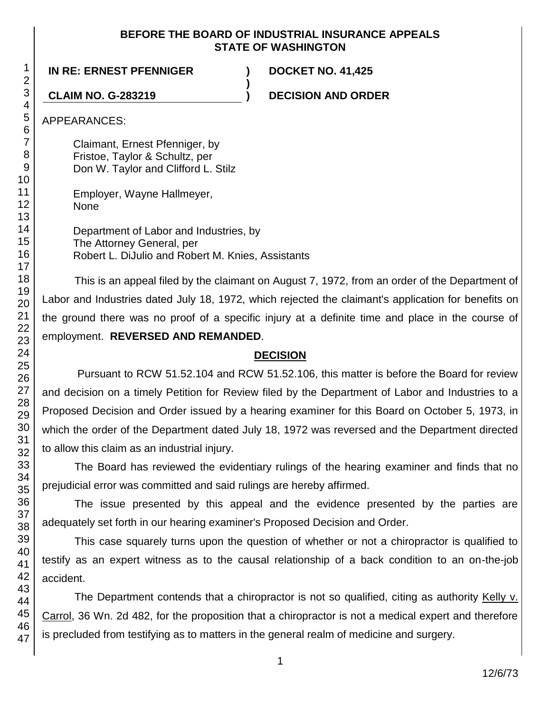#### **BEFORE THE BOARD OF INDUSTRIAL INSURANCE APPEALS STATE OF WASHINGTON**

**)**

#### **IN RE: ERNEST PFENNIGER ) DOCKET NO. 41,425**

**CLAIM NO. G-283219 ) DECISION AND ORDER**

APPEARANCES:

Claimant, Ernest Pfenniger, by Fristoe, Taylor & Schultz, per Don W. Taylor and Clifford L. Stilz

Employer, Wayne Hallmeyer, None

Department of Labor and Industries, by The Attorney General, per Robert L. DiJulio and Robert M. Knies, Assistants

This is an appeal filed by the claimant on August 7, 1972, from an order of the Department of Labor and Industries dated July 18, 1972, which rejected the claimant's application for benefits on the ground there was no proof of a specific injury at a definite time and place in the course of employment. **REVERSED AND REMANDED**.

## **DECISION**

Pursuant to RCW 51.52.104 and RCW 51.52.106, this matter is before the Board for review and decision on a timely Petition for Review filed by the Department of Labor and Industries to a Proposed Decision and Order issued by a hearing examiner for this Board on October 5, 1973, in which the order of the Department dated July 18, 1972 was reversed and the Department directed to allow this claim as an industrial injury.

The Board has reviewed the evidentiary rulings of the hearing examiner and finds that no prejudicial error was committed and said rulings are hereby affirmed.

The issue presented by this appeal and the evidence presented by the parties are adequately set forth in our hearing examiner's Proposed Decision and Order.

This case squarely turns upon the question of whether or not a chiropractor is qualified to testify as an expert witness as to the causal relationship of a back condition to an on-the-job accident.

The Department contends that a chiropractor is not so qualified, citing as authority Kelly v. Carrol, 36 Wn. 2d 482, for the proposition that a chiropractor is not a medical expert and therefore is precluded from testifying as to matters in the general realm of medicine and surgery.

1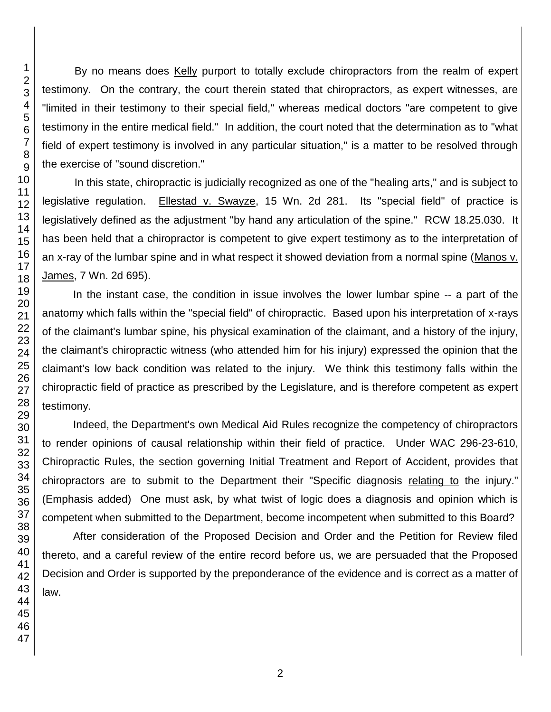By no means does Kelly purport to totally exclude chiropractors from the realm of expert testimony. On the contrary, the court therein stated that chiropractors, as expert witnesses, are "limited in their testimony to their special field," whereas medical doctors "are competent to give testimony in the entire medical field." In addition, the court noted that the determination as to "what field of expert testimony is involved in any particular situation," is a matter to be resolved through the exercise of "sound discretion."

In this state, chiropractic is judicially recognized as one of the "healing arts," and is subject to legislative regulation. Ellestad v. Swayze, 15 Wn. 2d 281. Its "special field" of practice is legislatively defined as the adjustment "by hand any articulation of the spine." RCW 18.25.030. It has been held that a chiropractor is competent to give expert testimony as to the interpretation of an x-ray of the lumbar spine and in what respect it showed deviation from a normal spine (Manos v. James, 7 Wn. 2d 695).

In the instant case, the condition in issue involves the lower lumbar spine -- a part of the anatomy which falls within the "special field" of chiropractic. Based upon his interpretation of x-rays of the claimant's lumbar spine, his physical examination of the claimant, and a history of the injury, the claimant's chiropractic witness (who attended him for his injury) expressed the opinion that the claimant's low back condition was related to the injury. We think this testimony falls within the chiropractic field of practice as prescribed by the Legislature, and is therefore competent as expert testimony.

Indeed, the Department's own Medical Aid Rules recognize the competency of chiropractors to render opinions of causal relationship within their field of practice. Under WAC 296-23-610, Chiropractic Rules, the section governing Initial Treatment and Report of Accident, provides that chiropractors are to submit to the Department their "Specific diagnosis relating to the injury." (Emphasis added) One must ask, by what twist of logic does a diagnosis and opinion which is competent when submitted to the Department, become incompetent when submitted to this Board?

After consideration of the Proposed Decision and Order and the Petition for Review filed thereto, and a careful review of the entire record before us, we are persuaded that the Proposed Decision and Order is supported by the preponderance of the evidence and is correct as a matter of law.